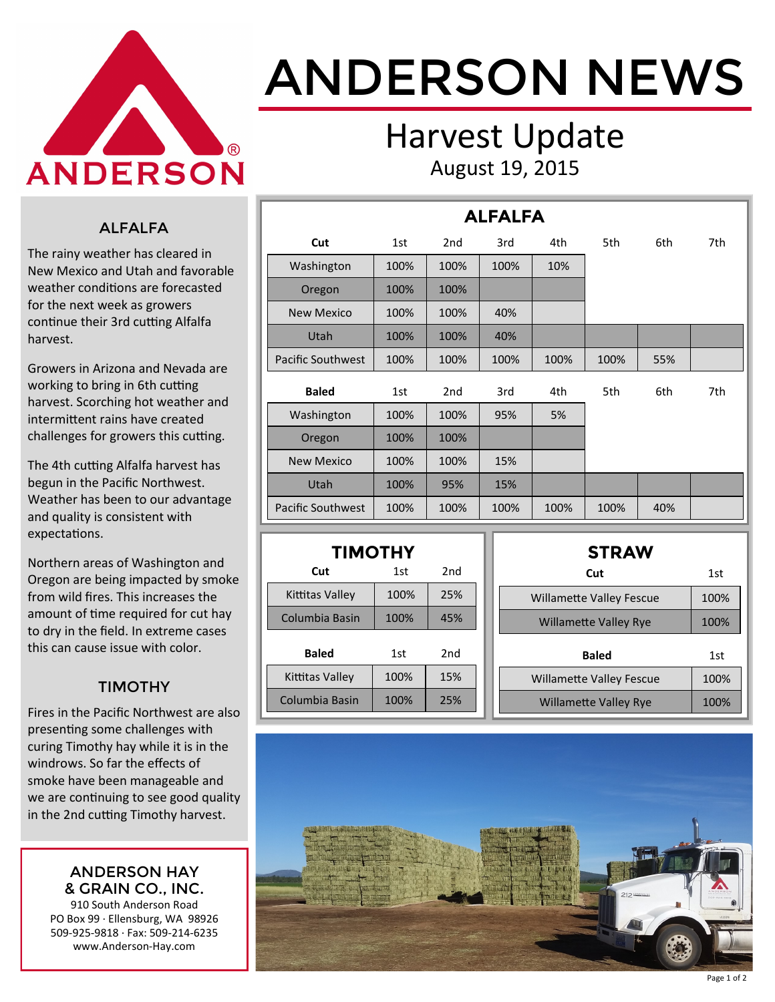

# ANDERSON NEWS

### Harvest Update August 19, 2015

#### ALFALFA

The rainy weather has cleared in New Mexico and Utah and favorable weather conditions are forecasted for the next week as growers continue their 3rd cutting Alfalfa harvest.

Growers in Arizona and Nevada are working to bring in 6th cutting harvest. Scorching hot weather and intermittent rains have created challenges for growers this cutting.

The 4th cutting Alfalfa harvest has begun in the Pacific Northwest. Weather has been to our advantage and quality is consistent with expectations.

Northern areas of Washington and Oregon are being impacted by smoke from wild fires. This increases the amount of time required for cut hay to dry in the field. In extreme cases this can cause issue with color.

#### TIMOTHY

Fires in the Pacific Northwest are also presenting some challenges with curing Timothy hay while it is in the windrows. So far the effects of smoke have been manageable and we are continuing to see good quality in the 2nd cutting Timothy harvest.

#### ANDERSON HAY & GRAIN CO., INC.

910 South Anderson Road PO Box 99 · Ellensburg, WA 98926 509-925-9818 · Fax: 509-214-6235 www.Anderson-Hay.com

|                          | <b>ALFALFA</b> |                 |      |      |      |     |     |  |  |  |
|--------------------------|----------------|-----------------|------|------|------|-----|-----|--|--|--|
| Cut                      | 1st            | 2 <sub>nd</sub> | 3rd  | 4th  | 5th  | 6th | 7th |  |  |  |
| Washington               | 100%           | 100%            | 100% | 10%  |      |     |     |  |  |  |
| Oregon                   | 100%           | 100%            |      |      |      |     |     |  |  |  |
| <b>New Mexico</b>        | 100%           | 100%            | 40%  |      |      |     |     |  |  |  |
| Utah                     | 100%           | 100%            | 40%  |      |      |     |     |  |  |  |
| <b>Pacific Southwest</b> | 100%           | 100%            | 100% | 100% | 100% | 55% |     |  |  |  |
| <b>Baled</b>             | 1st            | 2 <sub>nd</sub> | 3rd  | 4th  | 5th  | 6th | 7th |  |  |  |
| Washington               | 100%           | 100%            | 95%  | 5%   |      |     |     |  |  |  |
| Oregon                   | 100%           | 100%            |      |      |      |     |     |  |  |  |
| <b>New Mexico</b>        | 100%           | 100%            | 15%  |      |      |     |     |  |  |  |
| Utah                     | 100%           | 95%             | 15%  |      |      |     |     |  |  |  |
| <b>Pacific Southwest</b> | 100%           | 100%            | 100% | 100% | 100% | 40% |     |  |  |  |

| <b>TIMOTHY</b>  |      |     |  |  |  |  |  |  |  |
|-----------------|------|-----|--|--|--|--|--|--|--|
| Cut             | 1st  | 2nd |  |  |  |  |  |  |  |
| Kittitas Valley | 100% | 25% |  |  |  |  |  |  |  |
| Columbia Basin  | 100% | 45% |  |  |  |  |  |  |  |
| <b>Baled</b>    | 1st  | 2nd |  |  |  |  |  |  |  |
| Kittitas Valley | 100% | 15% |  |  |  |  |  |  |  |
| Columbia Basin  | 100% | 25% |  |  |  |  |  |  |  |

| <b>STRAW</b>                    |      |
|---------------------------------|------|
| Cut                             | 1st  |
| <b>Willamette Valley Fescue</b> | 100% |
| <b>Willamette Valley Rye</b>    | 100% |
|                                 |      |
| <b>Baled</b>                    | 1st  |
| <b>Willamette Valley Fescue</b> | 100% |